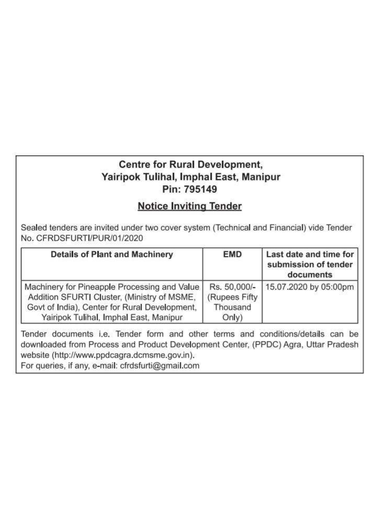## **Centre for Rural Development,** Yairipok Tulihal, Imphal East, Manipur Pin: 795149

## **Notice Inviting Tender**

Sealed tenders are invited under two cover system (Technical and Financial) vide Tender No. CFRDSFURTI/PUR/01/2020

| <b>Details of Plant and Machinery</b>                                                                                                                                                  | <b>EMD</b>                                         | Last date and time for<br>submission of tender<br>documents |  |  |  |
|----------------------------------------------------------------------------------------------------------------------------------------------------------------------------------------|----------------------------------------------------|-------------------------------------------------------------|--|--|--|
| Machinery for Pineapple Processing and Value<br>Addition SFURTI Cluster, (Ministry of MSME,<br>Govt of India), Center for Rural Development,<br>Yairipok Tulihal, Imphal East, Manipur | Rs. 50,000/-<br>(Rupees Fifty<br>Thousand<br>Only) | 15.07.2020 by 05:00pm                                       |  |  |  |

Tender documents i.e. Tender form and other terms and conditions/details can be downloaded from Process and Product Development Center, (PPDC) Agra, Uttar Pradesh website (http://www.ppdcagra.dcmsme.gov.in).

For queries, if any, e-mail: cfrdsfurti@gmail.com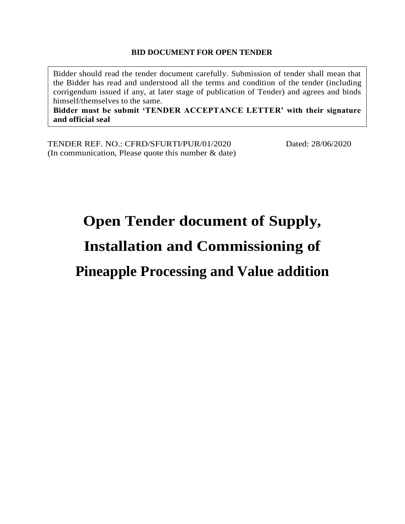## **BID DOCUMENT FOR OPEN TENDER**

Bidder should read the tender document carefully. Submission of tender shall mean that the Bidder has read and understood all the terms and condition of the tender (including corrigendum issued if any, at later stage of publication of Tender) and agrees and binds himself/themselves to the same.

**Bidder must be submit 'TENDER ACCEPTANCE LETTER' with their signature and official seal**

TENDER REF. NO.: CFRD/SFURTI/PUR/01/2020 Dated: 28/06/2020 (In communication, Please quote this number & date)

# **Open Tender document of Supply,**

# **Installation and Commissioning of**

## **Pineapple Processing and Value addition**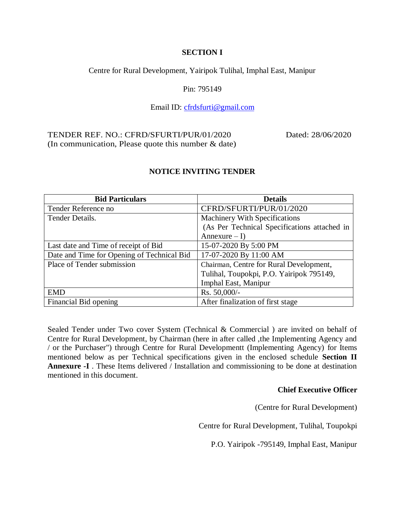### **SECTION I**

Centre for Rural Development, Yairipok Tulihal, Imphal East, Manipur

Pin: 795149

## Email ID: [cfrdsfurti@gmail.com](mailto:cfrdsfurti@gmail.com)

#### TENDER REF. NO.: CFRD/SFURTI/PUR/01/2020 Dated: 28/06/2020 (In communication, Please quote this number & date)

| <b>Bid Particulars</b>                     | <b>Details</b>                               |
|--------------------------------------------|----------------------------------------------|
| Tender Reference no                        | CFRD/SFURTI/PUR/01/2020                      |
| Tender Details.                            | Machinery With Specifications                |
|                                            | (As Per Technical Specifications attached in |
|                                            | Annexure $-1$ )                              |
| Last date and Time of receipt of Bid       | 15-07-2020 By 5:00 PM                        |
| Date and Time for Opening of Technical Bid | 17-07-2020 By 11:00 AM                       |
| Place of Tender submission                 | Chairman, Centre for Rural Development,      |
|                                            | Tulihal, Toupokpi, P.O. Yairipok 795149,     |
|                                            | Imphal East, Manipur                         |
| <b>EMD</b>                                 | Rs. 50,000/-                                 |
| Financial Bid opening                      | After finalization of first stage            |

## **NOTICE INVITING TENDER**

Sealed Tender under Two cover System (Technical & Commercial ) are invited on behalf of Centre for Rural Development, by Chairman (here in after called ,the Implementing Agency and / or the Purchaser") through Centre for Rural Developmentt (Implementing Agency) for Items mentioned below as per Technical specifications given in the enclosed schedule **Section II Annexure -I** . These Items delivered / Installation and commissioning to be done at destination mentioned in this document.

#### **Chief Executive Officer**

(Centre for Rural Development)

Centre for Rural Development, Tulihal, Toupokpi

P.O. Yairipok -795149, Imphal East, Manipur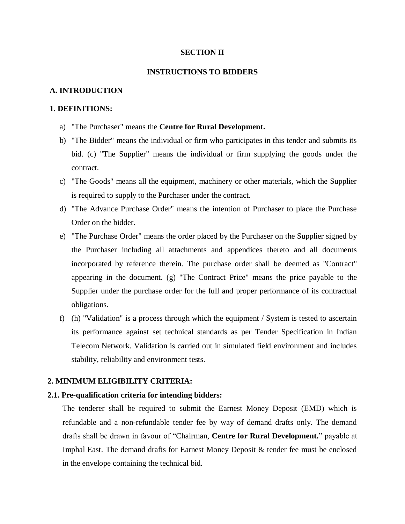#### **SECTION II**

#### **INSTRUCTIONS TO BIDDERS**

#### **A. INTRODUCTION**

#### **1. DEFINITIONS:**

- a) "The Purchaser" means the **Centre for Rural Development.**
- b) "The Bidder" means the individual or firm who participates in this tender and submits its bid. (c) "The Supplier" means the individual or firm supplying the goods under the contract.
- c) "The Goods" means all the equipment, machinery or other materials, which the Supplier is required to supply to the Purchaser under the contract.
- d) "The Advance Purchase Order" means the intention of Purchaser to place the Purchase Order on the bidder.
- e) "The Purchase Order" means the order placed by the Purchaser on the Supplier signed by the Purchaser including all attachments and appendices thereto and all documents incorporated by reference therein. The purchase order shall be deemed as "Contract" appearing in the document. (g) "The Contract Price" means the price payable to the Supplier under the purchase order for the full and proper performance of its contractual obligations.
- f) (h) "Validation" is a process through which the equipment / System is tested to ascertain its performance against set technical standards as per Tender Specification in Indian Telecom Network. Validation is carried out in simulated field environment and includes stability, reliability and environment tests.

#### **2. MINIMUM ELIGIBILITY CRITERIA:**

#### **2.1. Pre-qualification criteria for intending bidders:**

The tenderer shall be required to submit the Earnest Money Deposit (EMD) which is refundable and a non-refundable tender fee by way of demand drafts only. The demand drafts shall be drawn in favour of "Chairman, **Centre for Rural Development.**" payable at Imphal East. The demand drafts for Earnest Money Deposit & tender fee must be enclosed in the envelope containing the technical bid.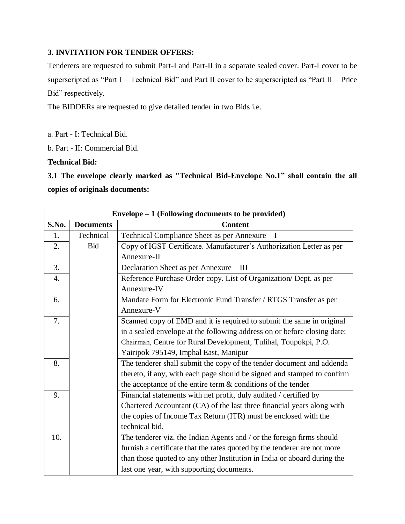## **3. INVITATION FOR TENDER OFFERS:**

Tenderers are requested to submit Part-I and Part-II in a separate sealed cover. Part-I cover to be superscripted as "Part I – Technical Bid" and Part II cover to be superscripted as "Part II – Price Bid" respectively.

The BIDDERs are requested to give detailed tender in two Bids i.e.

a. Part - I: Technical Bid.

b. Part - II: Commercial Bid.

**Technical Bid:**

**3.1 The envelope clearly marked as "Technical Bid-Envelope No.1" shall contain the all copies of originals documents:**

|       | Envelope $-1$ (Following documents to be provided) |                                                                          |  |  |  |  |  |
|-------|----------------------------------------------------|--------------------------------------------------------------------------|--|--|--|--|--|
| S.No. | <b>Documents</b>                                   | <b>Content</b>                                                           |  |  |  |  |  |
| 1.    | Technical                                          | Technical Compliance Sheet as per Annexure - I                           |  |  |  |  |  |
| 2.    | <b>Bid</b>                                         | Copy of IGST Certificate. Manufacturer's Authorization Letter as per     |  |  |  |  |  |
|       |                                                    | Annexure-II                                                              |  |  |  |  |  |
| 3.    |                                                    | Declaration Sheet as per Annexure - III                                  |  |  |  |  |  |
| 4.    |                                                    | Reference Purchase Order copy. List of Organization/ Dept. as per        |  |  |  |  |  |
|       |                                                    | Annexure-IV                                                              |  |  |  |  |  |
| 6.    |                                                    | Mandate Form for Electronic Fund Transfer / RTGS Transfer as per         |  |  |  |  |  |
|       |                                                    | Annexure-V                                                               |  |  |  |  |  |
| 7.    |                                                    | Scanned copy of EMD and it is required to submit the same in original    |  |  |  |  |  |
|       |                                                    | in a sealed envelope at the following address on or before closing date: |  |  |  |  |  |
|       |                                                    | Chairman, Centre for Rural Development, Tulihal, Toupokpi, P.O.          |  |  |  |  |  |
|       |                                                    | Yairipok 795149, Imphal East, Manipur                                    |  |  |  |  |  |
| 8.    |                                                    | The tenderer shall submit the copy of the tender document and addenda    |  |  |  |  |  |
|       |                                                    | thereto, if any, with each page should be signed and stamped to confirm  |  |  |  |  |  |
|       |                                                    | the acceptance of the entire term & conditions of the tender             |  |  |  |  |  |
| 9.    |                                                    | Financial statements with net profit, duly audited / certified by        |  |  |  |  |  |
|       |                                                    | Chartered Accountant (CA) of the last three financial years along with   |  |  |  |  |  |
|       |                                                    | the copies of Income Tax Return (ITR) must be enclosed with the          |  |  |  |  |  |
|       |                                                    | technical bid.                                                           |  |  |  |  |  |
| 10.   |                                                    | The tenderer viz. the Indian Agents and / or the foreign firms should    |  |  |  |  |  |
|       |                                                    | furnish a certificate that the rates quoted by the tenderer are not more |  |  |  |  |  |
|       |                                                    | than those quoted to any other Institution in India or aboard during the |  |  |  |  |  |
|       |                                                    | last one year, with supporting documents.                                |  |  |  |  |  |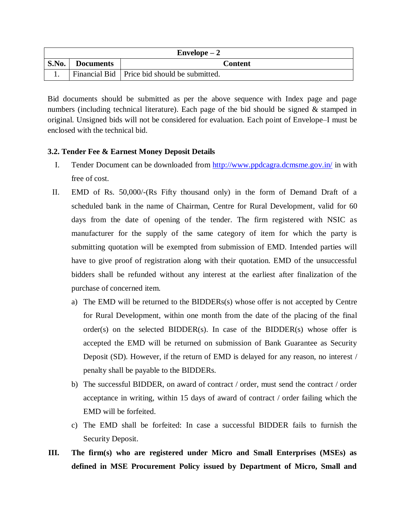| $Envelope - 2$                              |  |                                                |  |  |  |  |
|---------------------------------------------|--|------------------------------------------------|--|--|--|--|
| S.No.<br><b>Content</b><br><b>Documents</b> |  |                                                |  |  |  |  |
|                                             |  | Financial Bid   Price bid should be submitted. |  |  |  |  |

Bid documents should be submitted as per the above sequence with Index page and page numbers (including technical literature). Each page of the bid should be signed  $\&$  stamped in original. Unsigned bids will not be considered for evaluation. Each point of Envelope–I must be enclosed with the technical bid.

### **3.2. Tender Fee & Earnest Money Deposit Details**

- I. Tender Document can be downloaded from<http://www.ppdcagra.dcmsme.gov.in/> in with free of cost.
- II. EMD of Rs. 50,000/-(Rs Fifty thousand only) in the form of Demand Draft of a scheduled bank in the name of Chairman, Centre for Rural Development, valid for 60 days from the date of opening of the tender. The firm registered with NSIC as manufacturer for the supply of the same category of item for which the party is submitting quotation will be exempted from submission of EMD. Intended parties will have to give proof of registration along with their quotation. EMD of the unsuccessful bidders shall be refunded without any interest at the earliest after finalization of the purchase of concerned item.
	- a) The EMD will be returned to the BIDDERs(s) whose offer is not accepted by Centre for Rural Development, within one month from the date of the placing of the final order(s) on the selected  $BIDDER(s)$ . In case of the  $BIDDER(s)$  whose offer is accepted the EMD will be returned on submission of Bank Guarantee as Security Deposit (SD). However, if the return of EMD is delayed for any reason, no interest / penalty shall be payable to the BIDDERs.
	- b) The successful BIDDER, on award of contract / order, must send the contract / order acceptance in writing, within 15 days of award of contract / order failing which the EMD will be forfeited.
	- c) The EMD shall be forfeited: In case a successful BIDDER fails to furnish the Security Deposit.
- **III. The firm(s) who are registered under Micro and Small Enterprises (MSEs) as defined in MSE Procurement Policy issued by Department of Micro, Small and**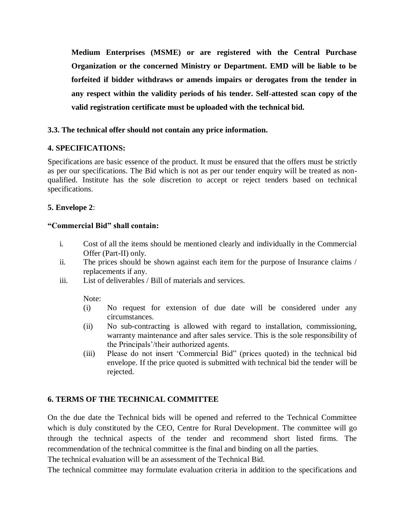**Medium Enterprises (MSME) or are registered with the Central Purchase Organization or the concerned Ministry or Department. EMD will be liable to be forfeited if bidder withdraws or amends impairs or derogates from the tender in any respect within the validity periods of his tender. Self-attested scan copy of the valid registration certificate must be uploaded with the technical bid.** 

### **3.3. The technical offer should not contain any price information.**

### **4. SPECIFICATIONS:**

Specifications are basic essence of the product. It must be ensured that the offers must be strictly as per our specifications. The Bid which is not as per our tender enquiry will be treated as nonqualified. Institute has the sole discretion to accept or reject tenders based on technical specifications.

## **5. Envelope 2**:

### **"Commercial Bid" shall contain:**

- i. Cost of all the items should be mentioned clearly and individually in the Commercial Offer (Part-II) only.
- ii. The prices should be shown against each item for the purpose of Insurance claims / replacements if any.
- iii. List of deliverables / Bill of materials and services.

Note:

- (i) No request for extension of due date will be considered under any circumstances.
- (ii) No sub-contracting is allowed with regard to installation, commissioning, warranty maintenance and after sales service. This is the sole responsibility of the Principals'/their authorized agents.
- (iii) Please do not insert 'Commercial Bid" (prices quoted) in the technical bid envelope. If the price quoted is submitted with technical bid the tender will be rejected.

## **6. TERMS OF THE TECHNICAL COMMITTEE**

On the due date the Technical bids will be opened and referred to the Technical Committee which is duly constituted by the CEO, Centre for Rural Development. The committee will go through the technical aspects of the tender and recommend short listed firms. The recommendation of the technical committee is the final and binding on all the parties.

The technical evaluation will be an assessment of the Technical Bid.

The technical committee may formulate evaluation criteria in addition to the specifications and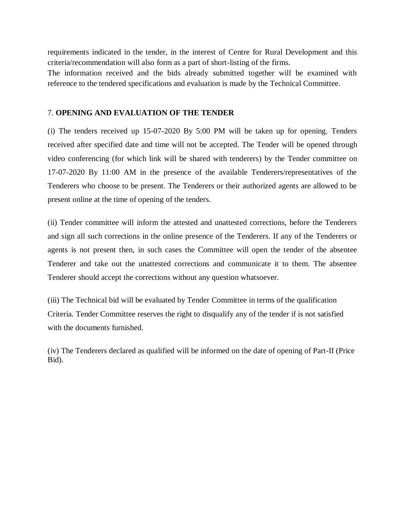requirements indicated in the tender, in the interest of Centre for Rural Development and this criteria/recommendation will also form as a part of short-listing of the firms.

The information received and the bids already submitted together will be examined with reference to the tendered specifications and evaluation is made by the Technical Committee.

#### 7. **OPENING AND EVALUATION OF THE TENDER**

(i) The tenders received up 15-07-2020 By 5:00 PM will be taken up for opening. Tenders received after specified date and time will not be accepted. The Tender will be opened through video conferencing (for which link will be shared with tenderers) by the Tender committee on 17-07-2020 By 11:00 AM in the presence of the available Tenderers/representatives of the Tenderers who choose to be present. The Tenderers or their authorized agents are allowed to be present online at the time of opening of the tenders.

(ii) Tender committee will inform the attested and unattested corrections, before the Tenderers and sign all such corrections in the online presence of the Tenderers. If any of the Tenderers or agents is not present then, in such cases the Committee will open the tender of the absentee Tenderer and take out the unattested corrections and communicate it to them. The absentee Tenderer should accept the corrections without any question whatsoever.

(iii) The Technical bid will be evaluated by Tender Committee in terms of the qualification Criteria. Tender Committee reserves the right to disqualify any of the tender if is not satisfied with the documents furnished.

(iv) The Tenderers declared as qualified will be informed on the date of opening of Part-II (Price Bid).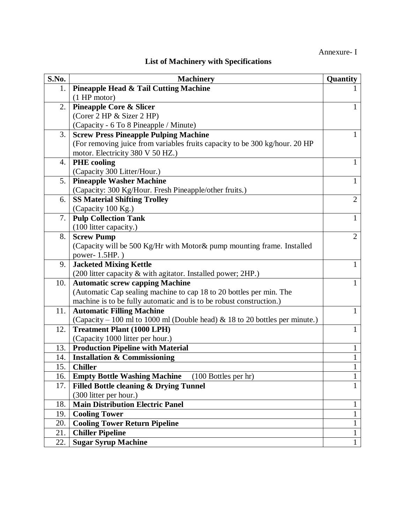## Annexure- I

## **List of Machinery with Specifications**

| S.No. | <b>Machinery</b>                                                            | Quantity       |
|-------|-----------------------------------------------------------------------------|----------------|
| 1.    | <b>Pineapple Head &amp; Tail Cutting Machine</b>                            |                |
|       | $(1$ HP motor)                                                              |                |
| 2.    | <b>Pineapple Core &amp; Slicer</b>                                          |                |
|       | (Corer 2 HP & Sizer 2 HP)                                                   |                |
|       | (Capacity - 6 To 8 Pineapple / Minute)                                      |                |
| 3.    | <b>Screw Press Pineapple Pulping Machine</b>                                |                |
|       | (For removing juice from variables fruits capacity to be 300 kg/hour. 20 HP |                |
|       | motor. Electricity 380 V 50 HZ.)                                            |                |
| 4.    | <b>PHE</b> cooling                                                          | 1              |
|       | (Capacity 300 Litter/Hour.)                                                 |                |
| 5.    | <b>Pineapple Washer Machine</b>                                             | $\mathbf{1}$   |
|       | (Capacity: 300 Kg/Hour. Fresh Pineapple/other fruits.)                      |                |
| 6.    | <b>SS Material Shifting Trolley</b>                                         | $\overline{2}$ |
|       | (Capacity 100 Kg.)                                                          |                |
| 7.    | <b>Pulp Collection Tank</b>                                                 | 1              |
|       | (100 litter capacity.)                                                      |                |
| 8.    | <b>Screw Pump</b>                                                           | $\overline{2}$ |
|       | (Capacity will be 500 Kg/Hr with Motor & pump mounting frame. Installed     |                |
|       | power-1.5HP.)                                                               |                |
| 9.    | <b>Jacketed Mixing Kettle</b>                                               | 1              |
|       | (200 litter capacity & with agitator. Installed power; 2HP.)                |                |
| 10.   | <b>Automatic screw capping Machine</b>                                      | 1              |
|       | (Automatic Cap sealing machine to cap 18 to 20 bottles per min. The         |                |
|       | machine is to be fully automatic and is to be robust construction.)         |                |
| 11.   | <b>Automatic Filling Machine</b>                                            | $\mathbf{1}$   |
|       | (Capacity – 100 ml to 1000 ml (Double head) & 18 to 20 bottles per minute.) |                |
| 12.   | <b>Treatment Plant (1000 LPH)</b>                                           | 1              |
|       | (Capacity 1000 litter per hour.)                                            |                |
| 13.   | <b>Production Pipeline with Material</b>                                    | $\mathbf{1}$   |
| 14.   | <b>Installation &amp; Commissioning</b>                                     | 1              |
| 15.   | <b>Chiller</b>                                                              | $\mathbf{r}$   |
| 16.   | <b>Empty Bottle Washing Machine</b><br>$(100$ Bottles per hr)               | $\mathbf{1}$   |
| 17.   | Filled Bottle cleaning & Drying Tunnel                                      | $\mathbf{1}$   |
|       | (300 litter per hour.)                                                      |                |
| 18.   | <b>Main Distribution Electric Panel</b>                                     | $\mathbf{1}$   |
| 19.   | <b>Cooling Tower</b>                                                        | $\mathbf 1$    |
| 20.   | <b>Cooling Tower Return Pipeline</b>                                        | $\mathbf{1}$   |
| 21.   | <b>Chiller Pipeline</b>                                                     | $\mathbf{1}$   |
| 22.   | <b>Sugar Syrup Machine</b>                                                  | $\mathbf{1}$   |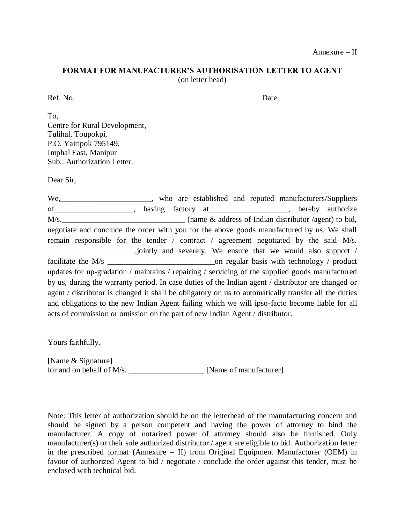### **FORMAT FOR MANUFACTURER'S AUTHORISATION LETTER TO AGENT** (on letter head)

Ref. No. Date:

To, Centre for Rural Development, Tulihal, Toupokpi, P.O. Yairipok 795149, Imphal East, Manipur Sub.: Authorization Letter.

Dear Sir,

We,\_\_\_\_\_\_\_\_\_\_\_\_\_\_\_\_\_\_\_\_\_\_\_, who are established and reputed manufacturers/Suppliers of\_\_\_\_\_\_\_\_\_\_\_\_\_\_\_\_\_\_\_\_, having factory at\_\_\_\_\_\_\_\_\_\_\_\_\_\_\_\_\_\_\_\_, hereby authorize M/s. \_\_\_\_\_\_\_\_\_\_\_\_\_\_\_\_\_\_\_\_\_\_\_\_\_\_\_\_\_\_\_\_\_\_\_ (name & address of Indian distributor /agent) to bid, negotiate and conclude the order with you for the above goods manufactured by us. We shall remain responsible for the tender / contract / agreement negotiated by the said M/s. \_\_\_\_\_\_\_\_\_\_\_\_\_\_\_\_\_\_\_\_\_\_,jointly and severely. We ensure that we would also support / facilitate the M/s \_\_\_\_\_\_\_\_\_\_\_\_\_\_\_\_\_\_\_\_\_\_\_\_\_\_\_on regular basis with technology / product updates for up-gradation / maintains / repairing / servicing of the supplied goods manufactured by us, during the warranty period. In case duties of the Indian agent / distributor are changed or agent / distributor is changed it shall be obligatory on us to automatically transfer all the duties and obligations to the new Indian Agent failing which we will ipso-facto become liable for all acts of commission or omission on the part of new Indian Agent / distributor.

Yours faithfully,

[Name & Signature] for and on behalf of M/s. \_\_\_\_\_\_\_\_\_\_\_\_\_\_\_\_\_\_\_\_\_\_\_\_\_\_\_ [Name of manufacturer]

Note: This letter of authorization should be on the letterhead of the manufacturing concern and should be signed by a person competent and having the power of attorney to bind the manufacturer. A copy of notarized power of attorney should also be furnished. Only manufacturer(s) or their sole authorized distributor / agent are eligible to bid. Authorization letter in the prescribed format (Annexure – II) from Original Equipment Manufacturer (OEM) in favour of authorized Agent to bid / negotiate / conclude the order against this tender, must be enclosed with technical bid.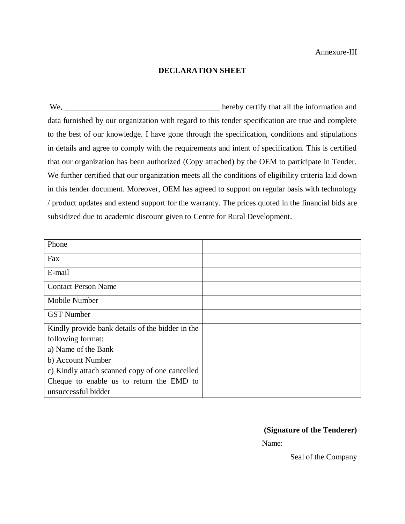#### **DECLARATION SHEET**

We, \_\_\_\_\_\_\_\_\_\_\_\_\_\_\_\_\_\_\_\_\_\_\_\_\_\_\_\_\_\_\_\_\_\_\_\_\_\_\_ hereby certify that all the information and data furnished by our organization with regard to this tender specification are true and complete to the best of our knowledge. I have gone through the specification, conditions and stipulations in details and agree to comply with the requirements and intent of specification. This is certified that our organization has been authorized (Copy attached) by the OEM to participate in Tender. We further certified that our organization meets all the conditions of eligibility criteria laid down in this tender document. Moreover, OEM has agreed to support on regular basis with technology / product updates and extend support for the warranty. The prices quoted in the financial bids are subsidized due to academic discount given to Centre for Rural Development.

| Phone                                            |  |
|--------------------------------------------------|--|
| Fax                                              |  |
| E-mail                                           |  |
| <b>Contact Person Name</b>                       |  |
| Mobile Number                                    |  |
| <b>GST</b> Number                                |  |
| Kindly provide bank details of the bidder in the |  |
| following format:                                |  |
| a) Name of the Bank                              |  |
| b) Account Number                                |  |
| c) Kindly attach scanned copy of one cancelled   |  |
| Cheque to enable us to return the EMD to         |  |
| unsuccessful bidder                              |  |

#### **(Signature of the Tenderer)**

Name:

Seal of the Company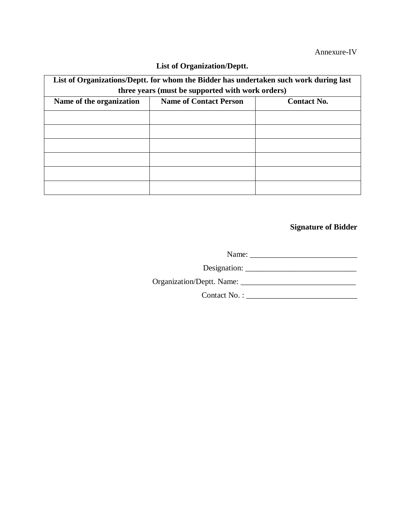#### Annexure-IV

| List of Organizations/Deptt. for whom the Bidder has undertaken such work during last<br>three years (must be supported with work orders) |                    |  |  |  |  |  |  |
|-------------------------------------------------------------------------------------------------------------------------------------------|--------------------|--|--|--|--|--|--|
| Name of the organization                                                                                                                  | <b>Contact No.</b> |  |  |  |  |  |  |
|                                                                                                                                           |                    |  |  |  |  |  |  |
|                                                                                                                                           |                    |  |  |  |  |  |  |
|                                                                                                                                           |                    |  |  |  |  |  |  |
|                                                                                                                                           |                    |  |  |  |  |  |  |
|                                                                                                                                           |                    |  |  |  |  |  |  |
|                                                                                                                                           |                    |  |  |  |  |  |  |

## **List of Organization/Deptt.**

**Signature of Bidder**

Name: \_\_\_\_\_\_\_\_\_\_\_\_\_\_\_\_\_\_\_\_\_\_\_\_\_\_\_

Designation: \_\_\_\_\_\_\_\_\_\_\_\_\_\_\_\_\_\_\_\_\_\_\_\_\_\_\_\_

Organization/Deptt. Name: \_\_\_\_\_\_\_\_\_\_\_\_\_\_\_\_\_\_\_\_\_\_\_\_\_\_\_\_\_

Contact No. : \_\_\_\_\_\_\_\_\_\_\_\_\_\_\_\_\_\_\_\_\_\_\_\_\_\_\_\_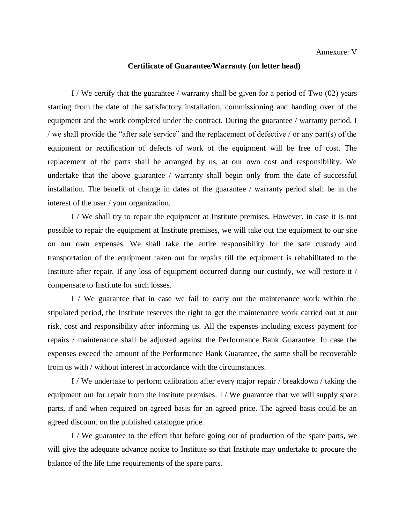#### **Certificate of Guarantee/Warranty (on letter head)**

I / We certify that the guarantee / warranty shall be given for a period of Two (02) years starting from the date of the satisfactory installation, commissioning and handing over of the equipment and the work completed under the contract. During the guarantee / warranty period, I / we shall provide the "after sale service" and the replacement of defective / or any part(s) of the equipment or rectification of defects of work of the equipment will be free of cost. The replacement of the parts shall be arranged by us, at our own cost and responsibility. We undertake that the above guarantee / warranty shall begin only from the date of successful installation. The benefit of change in dates of the guarantee / warranty period shall be in the interest of the user / your organization.

I / We shall try to repair the equipment at Institute premises. However, in case it is not possible to repair the equipment at Institute premises, we will take out the equipment to our site on our own expenses. We shall take the entire responsibility for the safe custody and transportation of the equipment taken out for repairs till the equipment is rehabilitated to the Institute after repair. If any loss of equipment occurred during our custody, we will restore it / compensate to Institute for such losses.

I / We guarantee that in case we fail to carry out the maintenance work within the stipulated period, the Institute reserves the right to get the maintenance work carried out at our risk, cost and responsibility after informing us. All the expenses including excess payment for repairs / maintenance shall be adjusted against the Performance Bank Guarantee. In case the expenses exceed the amount of the Performance Bank Guarantee, the same shall be recoverable from us with / without interest in accordance with the circumstances.

I / We undertake to perform calibration after every major repair / breakdown / taking the equipment out for repair from the Institute premises. I / We guarantee that we will supply spare parts, if and when required on agreed basis for an agreed price. The agreed basis could be an agreed discount on the published catalogue price.

I / We guarantee to the effect that before going out of production of the spare parts, we will give the adequate advance notice to Institute so that Institute may undertake to procure the balance of the life time requirements of the spare parts.